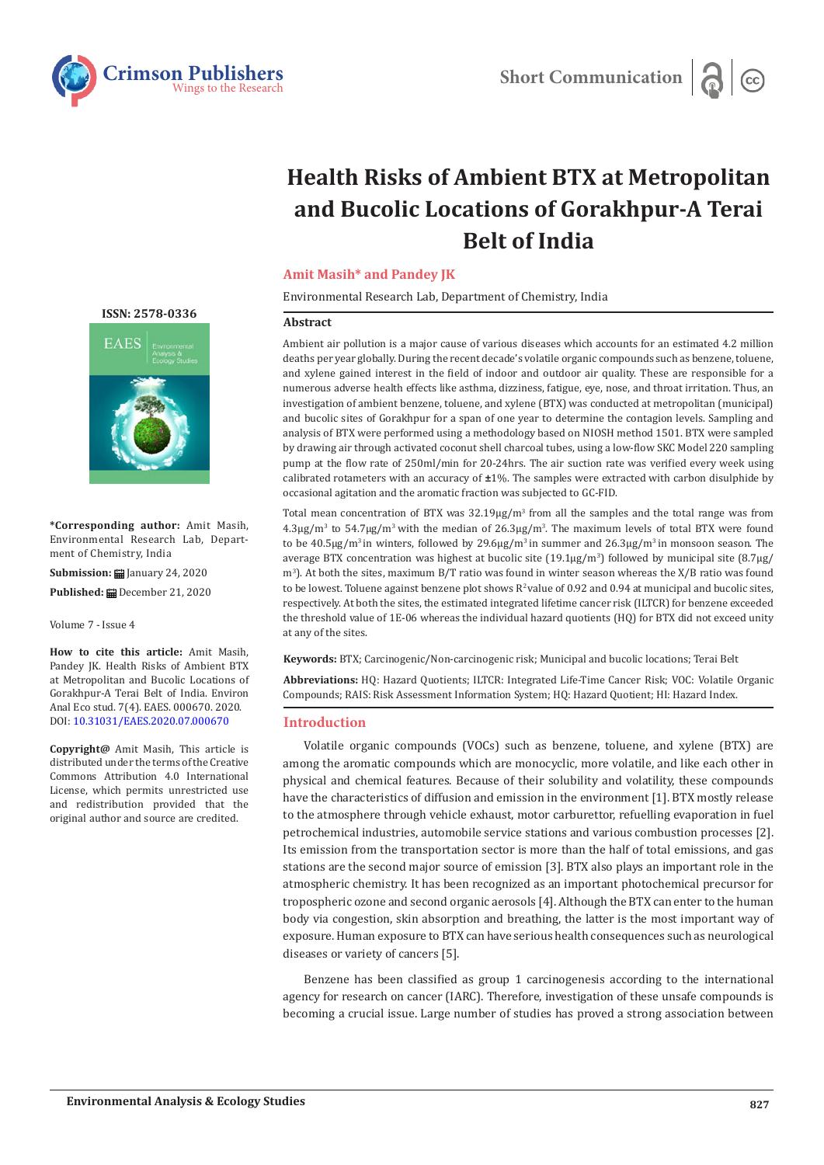

# **Health Risks of Ambient BTX at Metropolitan and Bucolic Locations of Gorakhpur-A Terai Belt of India**

### **Amit Masih\* and Pandey JK**

Environmental Research Lab, Department of Chemistry, India

#### **Abstract**

Ambient air pollution is a major cause of various diseases which accounts for an estimated 4.2 million deaths per year globally. During the recent decade's volatile organic compounds such as benzene, toluene, and xylene gained interest in the field of indoor and outdoor air quality. These are responsible for a numerous adverse health effects like asthma, dizziness, fatigue, eye, nose, and throat irritation. Thus, an investigation of ambient benzene, toluene, and xylene (BTX) was conducted at metropolitan (municipal) and bucolic sites of Gorakhpur for a span of one year to determine the contagion levels. Sampling and analysis of BTX were performed using a methodology based on NIOSH method 1501. BTX were sampled by drawing air through activated coconut shell charcoal tubes, using a low-flow SKC Model 220 sampling pump at the flow rate of 250ml/min for 20-24hrs. The air suction rate was verified every week using calibrated rotameters with an accuracy of **±**1%. The samples were extracted with carbon disulphide by occasional agitation and the aromatic fraction was subjected to GC-FID.

Total mean concentration of BTX was  $32.19\mu g/m<sup>3</sup>$  from all the samples and the total range was from  $4.3\mu$ g/m<sup>3</sup> to 54.7 $\mu$ g/m<sup>3</sup> with the median of 26.3 $\mu$ g/m<sup>3</sup>. The maximum levels of total BTX were found to be  $40.5\mu g/m^3$  in winters, followed by  $29.6\mu g/m^3$  in summer and  $26.3\mu g/m^3$  in monsoon season. The average BTX concentration was highest at bucolic site  $(19.1\mu g/m^3)$  followed by municipal site  $(8.7\mu g/m^3)$ m<sup>3</sup>). At both the sites, maximum B/T ratio was found in winter season whereas the X/B ratio was found to be lowest. Toluene against benzene plot shows  $R^2$  value of 0.92 and 0.94 at municipal and bucolic sites, respectively. At both the sites, the estimated integrated lifetime cancer risk (ILTCR) for benzene exceeded the threshold value of 1E-06 whereas the individual hazard quotients (HQ) for BTX did not exceed unity at any of the sites.

**Keywords:** BTX; Carcinogenic/Non-carcinogenic risk; Municipal and bucolic locations; Terai Belt

**Abbreviations:** HQ: Hazard Quotients; ILTCR: Integrated Life-Time Cancer Risk; VOC: Volatile Organic Compounds; RAIS: Risk Assessment Information System; HQ: Hazard Quotient; HI: Hazard Index.

### **Introduction**

Volatile organic compounds (VOCs) such as benzene, toluene, and xylene (BTX) are among the aromatic compounds which are monocyclic, more volatile, and like each other in physical and chemical features. Because of their solubility and volatility, these compounds have the characteristics of diffusion and emission in the environment [1]. BTX mostly release to the atmosphere through vehicle exhaust, motor carburettor, refuelling evaporation in fuel petrochemical industries, automobile service stations and various combustion processes [2]. Its emission from the transportation sector is more than the half of total emissions, and gas stations are the second major source of emission [3]. BTX also plays an important role in the atmospheric chemistry. It has been recognized as an important photochemical precursor for tropospheric ozone and second organic aerosols [4]. Although the BTX can enter to the human body via congestion, skin absorption and breathing, the latter is the most important way of exposure. Human exposure to BTX can have serious health consequences such as neurological diseases or variety of cancers [5].

Benzene has been classified as group 1 carcinogenesis according to the international agency for research on cancer (IARC). Therefore, investigation of these unsafe compounds is becoming a crucial issue. Large number of studies has proved a strong association between

#### **[ISSN: 2578-0336](https://www.crimsonpublishers.com/eaes/)**



**\*Corresponding author:** Amit Masih, Environmental Research Lab, Department of Chemistry, India

**Submission:** January 24, 2020

Published: **■** December 21, 2020

Volume 7 - Issue 4

**How to cite this article:** Amit Masih, Pandey JK. Health Risks of Ambient BTX at Metropolitan and Bucolic Locations of Gorakhpur-A Terai Belt of India. Environ Anal Eco stud. 7(4). EAES. 000670. 2020. DOI: [10.31031/EAES.2020.07.00067](http://dx.doi.org/10.31031/EAES.2020.07.000670)0

**Copyright@** Amit Masih, This article is distributed under the terms of the Creative Commons Attribution 4.0 International License, which permits unrestricted use and redistribution provided that the original author and source are credited.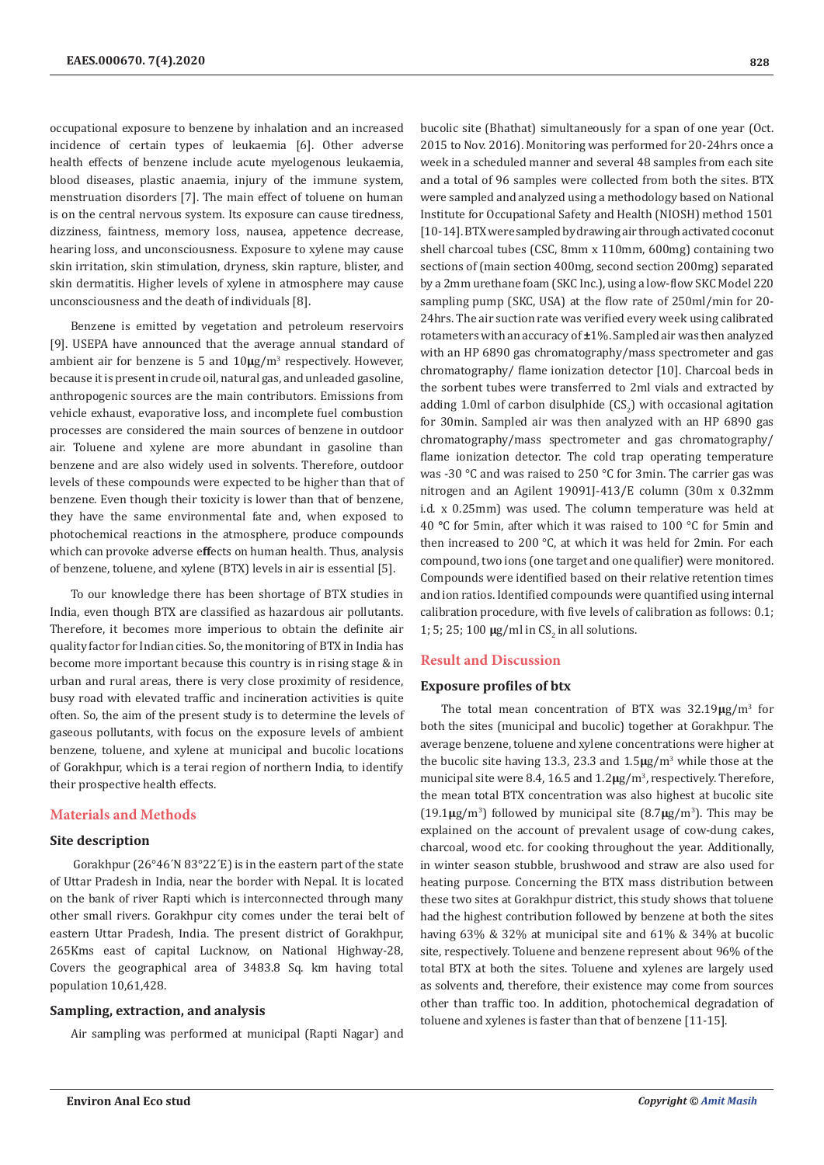occupational exposure to benzene by inhalation and an increased incidence of certain types of leukaemia [6]. Other adverse health effects of benzene include acute myelogenous leukaemia, blood diseases, plastic anaemia, injury of the immune system, menstruation disorders [7]. The main effect of toluene on human is on the central nervous system. Its exposure can cause tiredness, dizziness, faintness, memory loss, nausea, appetence decrease, hearing loss, and unconsciousness. Exposure to xylene may cause skin irritation, skin stimulation, dryness, skin rapture, blister, and skin dermatitis. Higher levels of xylene in atmosphere may cause unconsciousness and the death of individuals [8].

Benzene is emitted by vegetation and petroleum reservoirs [9]. USEPA have announced that the average annual standard of ambient air for benzene is 5 and 10**μ**g/m<sup>3</sup> respectively. However, because it is present in crude oil, natural gas, and unleaded gasoline, anthropogenic sources are the main contributors. Emissions from vehicle exhaust, evaporative loss, and incomplete fuel combustion processes are considered the main sources of benzene in outdoor air. Toluene and xylene are more abundant in gasoline than benzene and are also widely used in solvents. Therefore, outdoor levels of these compounds were expected to be higher than that of benzene. Even though their toxicity is lower than that of benzene, they have the same environmental fate and, when exposed to photochemical reactions in the atmosphere, produce compounds which can provoke adverse e**ff**ects on human health. Thus, analysis of benzene, toluene, and xylene (BTX) levels in air is essential [5].

To our knowledge there has been shortage of BTX studies in India, even though BTX are classified as hazardous air pollutants. Therefore, it becomes more imperious to obtain the definite air quality factor for Indian cities. So, the monitoring of BTX in India has become more important because this country is in rising stage & in urban and rural areas, there is very close proximity of residence, busy road with elevated traffic and incineration activities is quite often. So, the aim of the present study is to determine the levels of gaseous pollutants, with focus on the exposure levels of ambient benzene, toluene, and xylene at municipal and bucolic locations of Gorakhpur, which is a terai region of northern India, to identify their prospective health effects.

#### **Materials and Methods**

#### **Site description**

 Gorakhpur (26°46´N 83°22´E) is in the eastern part of the state of Uttar Pradesh in India, near the border with Nepal. It is located on the bank of river Rapti which is interconnected through many other small rivers. Gorakhpur city comes under the terai belt of eastern Uttar Pradesh, India. The present district of Gorakhpur, 265Kms east of capital Lucknow, on National Highway-28, Covers the geographical area of 3483.8 Sq. km having total population 10,61,428.

#### **Sampling, extraction, and analysis**

Air sampling was performed at municipal (Rapti Nagar) and

bucolic site (Bhathat) simultaneously for a span of one year (Oct. 2015 to Nov. 2016). Monitoring was performed for 20-24hrs once a week in a scheduled manner and several 48 samples from each site and a total of 96 samples were collected from both the sites. BTX were sampled and analyzed using a methodology based on National Institute for Occupational Safety and Health (NIOSH) method 1501 [10-14]. BTX were sampled by drawing air through activated coconut shell charcoal tubes (CSC, 8mm x 110mm, 600mg) containing two sections of (main section 400mg, second section 200mg) separated by a 2mm urethane foam (SKC Inc.), using a low-flow SKC Model 220 sampling pump (SKC, USA) at the flow rate of 250ml/min for 20- 24hrs. The air suction rate was verified every week using calibrated rotameters with an accuracy of **±**1%. Sampled air was then analyzed with an HP 6890 gas chromatography/mass spectrometer and gas chromatography/ flame ionization detector [10]. Charcoal beds in the sorbent tubes were transferred to 2ml vials and extracted by adding 1.0ml of carbon disulphide  $(CS_2)$  with occasional agitation for 30min. Sampled air was then analyzed with an HP 6890 gas chromatography/mass spectrometer and gas chromatography/ flame ionization detector. The cold trap operating temperature was -30 °C and was raised to 250 °C for 3min. The carrier gas was nitrogen and an Agilent 19091J-413/E column (30m x 0.32mm i.d. x 0.25mm) was used. The column temperature was held at 40 **°**C for 5min, after which it was raised to 100 °C for 5min and then increased to 200 °C, at which it was held for 2min. For each compound, two ions (one target and one qualifier) were monitored. Compounds were identified based on their relative retention times and ion ratios. Identified compounds were quantified using internal calibration procedure, with five levels of calibration as follows: 0.1; 1; 5; 25; 100  $\mu$ g/ml in CS<sub>2</sub> in all solutions.

#### **Result and Discussion**

#### **Exposure profiles of btx**

The total mean concentration of BTX was 32.19**µ**g/m<sup>3</sup> for both the sites (municipal and bucolic) together at Gorakhpur. The average benzene, toluene and xylene concentrations were higher at the bucolic site having 13.3, 23.3 and 1.5**µ**g/m<sup>3</sup> while those at the municipal site were 8.4, 16.5 and  $1.2\mu g/m^3$ , respectively. Therefore, the mean total BTX concentration was also highest at bucolic site (19.1**µ**g/m<sup>3</sup> ) followed by municipal site (8.7**µ**g/m<sup>3</sup> ). This may be explained on the account of prevalent usage of cow-dung cakes, charcoal, wood etc. for cooking throughout the year. Additionally, in winter season stubble, brushwood and straw are also used for heating purpose. Concerning the BTX mass distribution between these two sites at Gorakhpur district, this study shows that toluene had the highest contribution followed by benzene at both the sites having 63% & 32% at municipal site and 61% & 34% at bucolic site, respectively. Toluene and benzene represent about 96% of the total BTX at both the sites. Toluene and xylenes are largely used as solvents and, therefore, their existence may come from sources other than traffic too. In addition, photochemical degradation of toluene and xylenes is faster than that of benzene [11-15].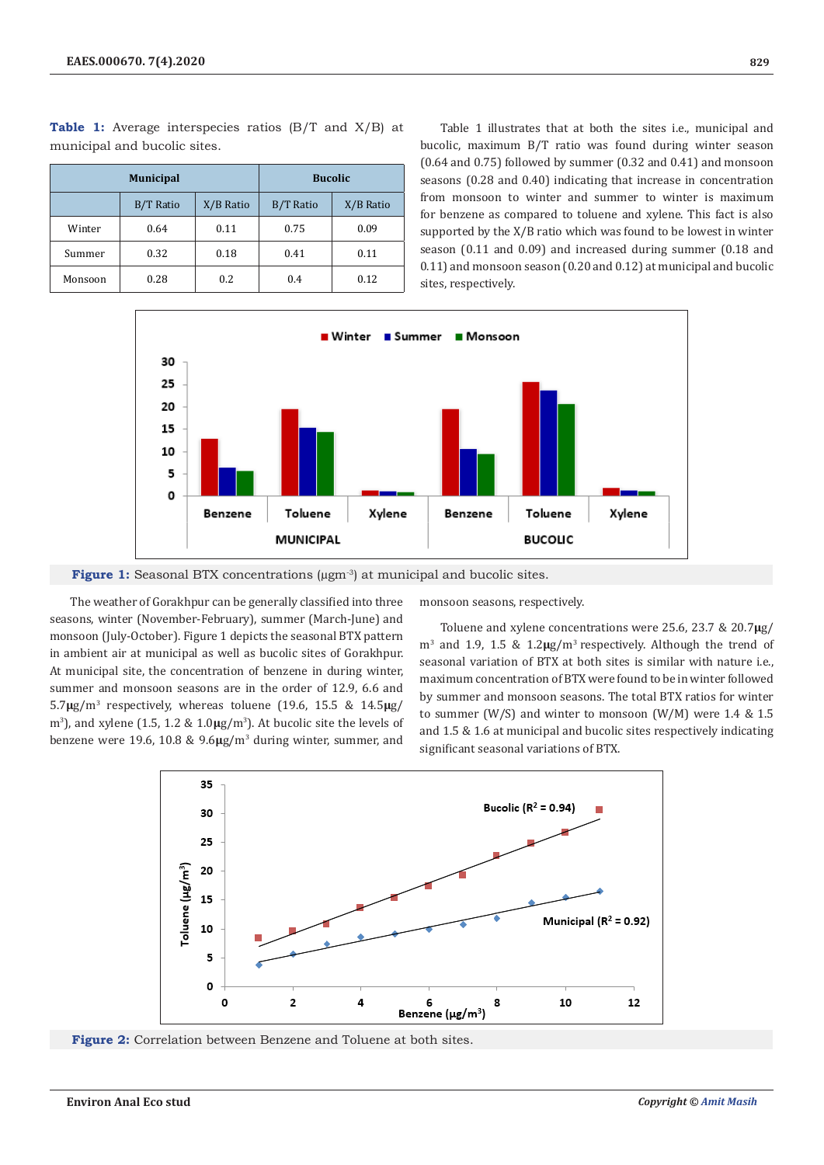|         | <b>Municipal</b> | <b>Bucolic</b> |                  |           |
|---------|------------------|----------------|------------------|-----------|
|         | B/T Ratio        | X/B Ratio      | <b>B/T Ratio</b> | X/B Ratio |
| Winter  | 0.64             | 0.11           | 0.75             | 0.09      |
| Summer  | 0.32             | 0.18           | 0.41             | 0.11      |
| Monsoon | 0.28             | 0.2            | 0.4              | 0.12      |

**Table 1:** Average interspecies ratios (B/T and X/B) at municipal and bucolic sites.

Table 1 illustrates that at both the sites i.e., municipal and bucolic, maximum B/T ratio was found during winter season (0.64 and 0.75) followed by summer (0.32 and 0.41) and monsoon seasons (0.28 and 0.40) indicating that increase in concentration from monsoon to winter and summer to winter is maximum for benzene as compared to toluene and xylene. This fact is also supported by the X/B ratio which was found to be lowest in winter season (0.11 and 0.09) and increased during summer (0.18 and 0.11) and monsoon season (0.20 and 0.12) at municipal and bucolic sites, respectively.



**Figure 1:** Seasonal BTX concentrations ( $\mu$ gm<sup>-3</sup>) at municipal and bucolic sites.

The weather of Gorakhpur can be generally classified into three seasons, winter (November-February), summer (March-June) and monsoon (July-October). Figure 1 depicts the seasonal BTX pattern in ambient air at municipal as well as bucolic sites of Gorakhpur. At municipal site, the concentration of benzene in during winter, summer and monsoon seasons are in the order of 12.9, 6.6 and 5.7**µ**g/m<sup>3</sup> respectively, whereas toluene (19.6, 15.5 & 14.5**µ**g/ m<sup>3</sup>), and xylene (1.5, 1.2 &  $1.0\mu g/m^3$ ). At bucolic site the levels of benzene were 19.6, 10.8 & 9.6**µ**g/m<sup>3</sup> during winter, summer, and monsoon seasons, respectively.

Toluene and xylene concentrations were 25.6, 23.7 & 20.7**µ**g/ m<sup>3</sup> and 1.9, 1.5 & 1.2**µ**g/m3 respectively. Although the trend of seasonal variation of BTX at both sites is similar with nature i.e., maximum concentration of BTX were found to be in winter followed by summer and monsoon seasons. The total BTX ratios for winter to summer (W/S) and winter to monsoon (W/M) were 1.4 & 1.5 and 1.5 & 1.6 at municipal and bucolic sites respectively indicating significant seasonal variations of BTX.



**Figure 2:** Correlation between Benzene and Toluene at both sites.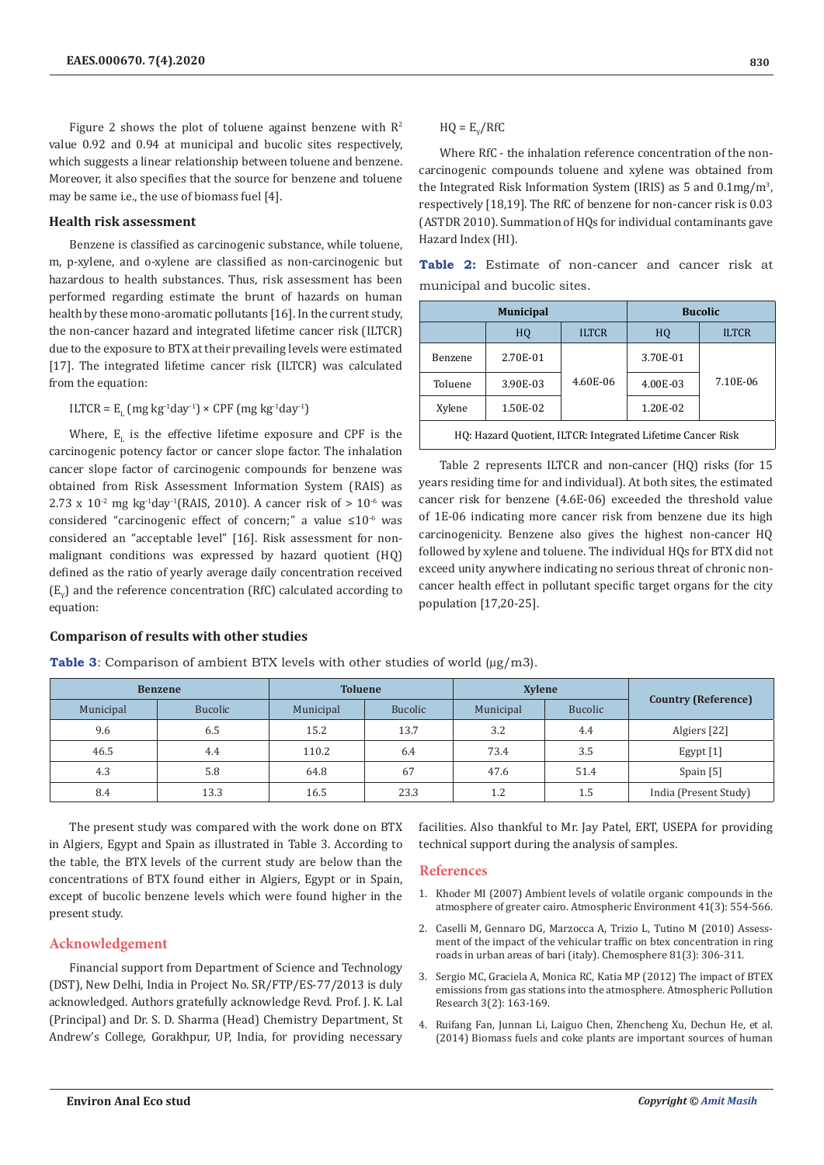Figure 2 shows the plot of toluene against benzene with  $R^2$ value 0.92 and 0.94 at municipal and bucolic sites respectively, which suggests a linear relationship between toluene and benzene. Moreover, it also specifies that the source for benzene and toluene may be same i.e., the use of biomass fuel [4].

### **Health risk assessment**

Benzene is classified as carcinogenic substance, while toluene, m, p-xylene, and o-xylene are classified as non-carcinogenic but hazardous to health substances. Thus, risk assessment has been performed regarding estimate the brunt of hazards on human health by these mono-aromatic pollutants [16]. In the current study, the non-cancer hazard and integrated lifetime cancer risk (ILTCR) due to the exposure to BTX at their prevailing levels were estimated [17]. The integrated lifetime cancer risk (ILTCR) was calculated from the equation:

 $\text{LTCR} = \text{E}_{\text{L}} \left( \text{mg} \, \text{kg}^{-1} \text{day}^{-1} \right) \times \text{CPF} \left( \text{mg} \, \text{kg}^{-1} \text{day}^{-1} \right)$ 

Where,  $E_{L}$  is the effective lifetime exposure and CPF is the carcinogenic potency factor or cancer slope factor. The inhalation cancer slope factor of carcinogenic compounds for benzene was obtained from Risk Assessment Information System (RAIS) as 2.73 x  $10^{-2}$  mg kg<sup>-1</sup>day<sup>-1</sup>(RAIS, 2010). A cancer risk of  $> 10^{-6}$  was considered "carcinogenic effect of concern;" a value ≤10-6 was considered an "acceptable level" [16]. Risk assessment for nonmalignant conditions was expressed by hazard quotient (HQ) defined as the ratio of yearly average daily concentration received  $(E_{\gamma})$  and the reference concentration (RfC) calculated according to equation:

#### **Comparison of results with other studies**

**Table 3**: Comparison of ambient BTX levels with other studies of world  $(\mu g/m3)$ .

|                            | <b>Xylene</b>  |           | <b>Toluene</b> |           | <b>Benzene</b> |           |  |
|----------------------------|----------------|-----------|----------------|-----------|----------------|-----------|--|
| <b>Country (Reference)</b> | <b>Bucolic</b> | Municipal | <b>Bucolic</b> | Municipal | <b>Bucolic</b> | Municipal |  |
| Algiers [22]               | 4.4            | 3.2       | 13.7           | 15.2      | 6.5            | 9.6       |  |
| Egypt [1]                  | 3.5            | 73.4      | 6.4            | 110.2     | 4.4            | 46.5      |  |
| Spain [5]                  | 51.4           | 47.6      | 67             | 64.8      | 5.8            | 4.3       |  |
| India (Present Study)      | 1.5            | 1.2       | 23.3           | 16.5      | 13.3           | 8.4       |  |

The present study was compared with the work done on BTX in Algiers, Egypt and Spain as illustrated in Table 3. According to the table, the BTX levels of the current study are below than the concentrations of BTX found either in Algiers, Egypt or in Spain, except of bucolic benzene levels which were found higher in the present study.

# **Acknowledgement**

Financial support from Department of Science and Technology (DST), New Delhi, India in Project No. SR/FTP/ES-77/2013 is duly acknowledged. Authors gratefully acknowledge Revd. Prof. J. K. Lal (Principal) and Dr. S. D. Sharma (Head) Chemistry Department, St Andrew's College, Gorakhpur, UP, India, for providing necessary  $HQ = E_y/RTC$ 

Where RfC - the inhalation reference concentration of the noncarcinogenic compounds toluene and xylene was obtained from the Integrated Risk Information System (IRIS) as 5 and  $0.1 \text{mg/m}^3$ , respectively [18,19]. The RfC of benzene for non-cancer risk is 0.03 (ASTDR 2010). Summation of HQs for individual contaminants gave Hazard Index (HI).

|  |                              | <b>Table 2:</b> Estimate of non-cancer and cancer risk at |  |  |
|--|------------------------------|-----------------------------------------------------------|--|--|
|  | municipal and bucolic sites. |                                                           |  |  |

|                                                             | <b>Municipal</b> | <b>Bucolic</b> |                    |          |  |
|-------------------------------------------------------------|------------------|----------------|--------------------|----------|--|
|                                                             | HO               | <b>ILTCR</b>   | <b>ILTCR</b><br>HQ |          |  |
| Benzene                                                     | 2.70E-01         |                | 3.70E-01           |          |  |
| Toluene                                                     | 3.90E-03         | 4.60E-06       | 4.00E-03           | 7.10E-06 |  |
| Xylene                                                      | 1.50E-02         |                | 1.20E-02           |          |  |
| HQ: Hazard Quotient, ILTCR: Integrated Lifetime Cancer Risk |                  |                |                    |          |  |

Table 2 represents ILTCR and non-cancer (HQ) risks (for 15 years residing time for and individual). At both sites, the estimated cancer risk for benzene (4.6E-06) exceeded the threshold value of 1E-06 indicating more cancer risk from benzene due its high carcinogenicity. Benzene also gives the highest non-cancer HQ followed by xylene and toluene. The individual HQs for BTX did not exceed unity anywhere indicating no serious threat of chronic noncancer health effect in pollutant specific target organs for the city population [17,20-25].

facilities. Also thankful to Mr. Jay Patel, ERT, USEPA for providing technical support during the analysis of samples.

## **References**

- 1. [Khoder MI \(2007\) Ambient levels of volatile organic compounds in the](https://www.sciencedirect.com/science/article/abs/pii/S1352231006008569)  [atmosphere of greater cairo. Atmospheric Environment 41\(3\): 554-566.](https://www.sciencedirect.com/science/article/abs/pii/S1352231006008569)
- 2. [Caselli M, Gennaro DG, Marzocca A, Trizio L, Tutino M \(2010\) Assess](https://www.sciencedirect.com/science/article/abs/pii/S0045653510008143)[ment of the impact of the vehicular traffic on btex concentration in ring](https://www.sciencedirect.com/science/article/abs/pii/S0045653510008143)  [roads in urban areas of bari \(italy\). Chemosphere 81\(3\): 306-311.](https://www.sciencedirect.com/science/article/abs/pii/S0045653510008143)
- 3. [Sergio MC, Graciela A, Monica RC, Katia MP \(2012\) The impact of BTEX](https://www.sciencedirect.com/science/article/pii/S1309104215304384)  [emissions from gas stations into the atmosphere. Atmospheric Pollution](https://www.sciencedirect.com/science/article/pii/S1309104215304384)  [Research 3\(2\): 163-169.](https://www.sciencedirect.com/science/article/pii/S1309104215304384)
- 4. [Ruifang Fan, Junnan Li, Laiguo Chen, Zhencheng Xu, Dechun He, et al.](https://www.sciencedirect.com/science/article/abs/pii/S0013935114002813)  [\(2014\) Biomass fuels and coke plants are important sources of human](https://www.sciencedirect.com/science/article/abs/pii/S0013935114002813)